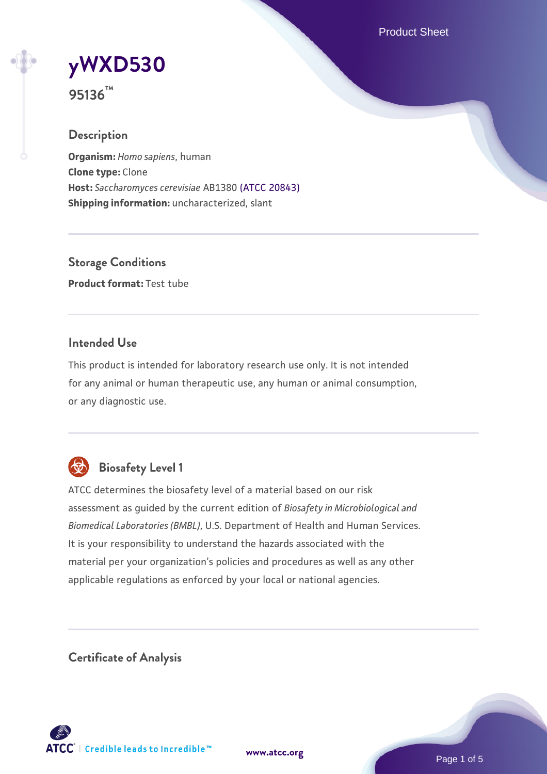Product Sheet

# **[yWXD530](https://www.atcc.org/products/95136)**

**95136™**

#### **Description**

**Organism:** *Homo sapiens*, human **Clone type:** Clone **Host:** *Saccharomyces cerevisiae* AB1380 [\(ATCC 20843\)](https://www.atcc.org/products/20843) **Shipping information:** uncharacterized, slant

**Storage Conditions Product format:** Test tube

#### **Intended Use**

This product is intended for laboratory research use only. It is not intended for any animal or human therapeutic use, any human or animal consumption, or any diagnostic use.



### **Biosafety Level 1**

ATCC determines the biosafety level of a material based on our risk assessment as guided by the current edition of *Biosafety in Microbiological and Biomedical Laboratories (BMBL)*, U.S. Department of Health and Human Services. It is your responsibility to understand the hazards associated with the material per your organization's policies and procedures as well as any other applicable regulations as enforced by your local or national agencies.

**Certificate of Analysis**

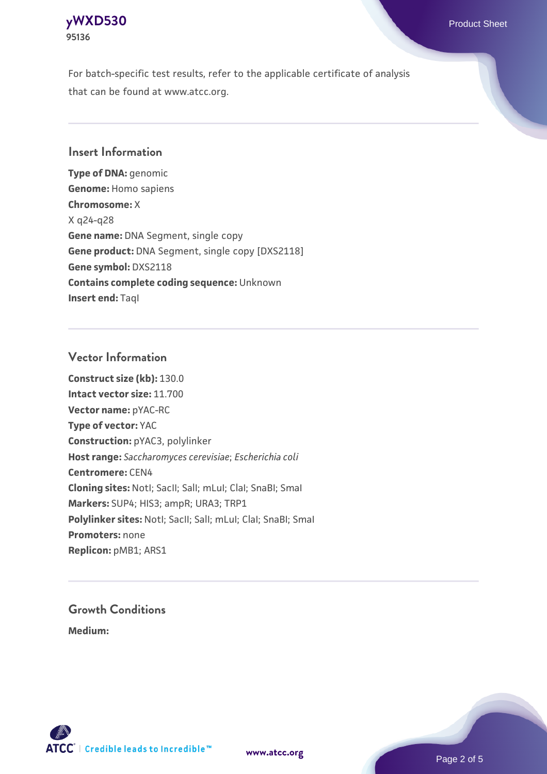

For batch-specific test results, refer to the applicable certificate of analysis that can be found at www.atcc.org.

#### **Insert Information**

**Type of DNA:** genomic **Genome:** Homo sapiens **Chromosome:** X X q24-q28 **Gene name:** DNA Segment, single copy **Gene product:** DNA Segment, single copy [DXS2118] **Gene symbol:** DXS2118 **Contains complete coding sequence:** Unknown **Insert end: Tagl** 

#### **Vector Information**

**Construct size (kb):** 130.0 **Intact vector size:** 11.700 **Vector name:** pYAC-RC **Type of vector:** YAC **Construction:** pYAC3, polylinker **Host range:** *Saccharomyces cerevisiae*; *Escherichia coli* **Centromere:** CEN4 **Cloning sites:** NotI; SacII; SalI; mLuI; ClaI; SnaBI; SmaI **Markers:** SUP4; HIS3; ampR; URA3; TRP1 Polylinker sites: Notl; SacII; SalI; mLuI; ClaI; SnaBI; SmaI **Promoters:** none **Replicon:** pMB1; ARS1

## **Growth Conditions**

**Medium:** 



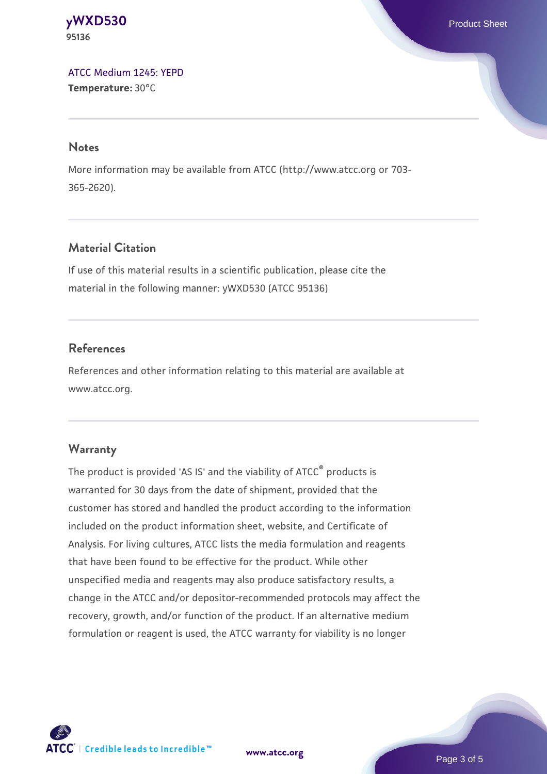**[yWXD530](https://www.atcc.org/products/95136)** Product Sheet **95136**

[ATCC Medium 1245: YEPD](https://www.atcc.org/-/media/product-assets/documents/microbial-media-formulations/1/2/4/5/atcc-medium-1245.pdf?rev=705ca55d1b6f490a808a965d5c072196) **Temperature:** 30°C

#### **Notes**

More information may be available from ATCC (http://www.atcc.org or 703- 365-2620).

#### **Material Citation**

If use of this material results in a scientific publication, please cite the material in the following manner: yWXD530 (ATCC 95136)

#### **References**

References and other information relating to this material are available at www.atcc.org.

#### **Warranty**

The product is provided 'AS IS' and the viability of ATCC® products is warranted for 30 days from the date of shipment, provided that the customer has stored and handled the product according to the information included on the product information sheet, website, and Certificate of Analysis. For living cultures, ATCC lists the media formulation and reagents that have been found to be effective for the product. While other unspecified media and reagents may also produce satisfactory results, a change in the ATCC and/or depositor-recommended protocols may affect the recovery, growth, and/or function of the product. If an alternative medium formulation or reagent is used, the ATCC warranty for viability is no longer



**[www.atcc.org](http://www.atcc.org)**

Page 3 of 5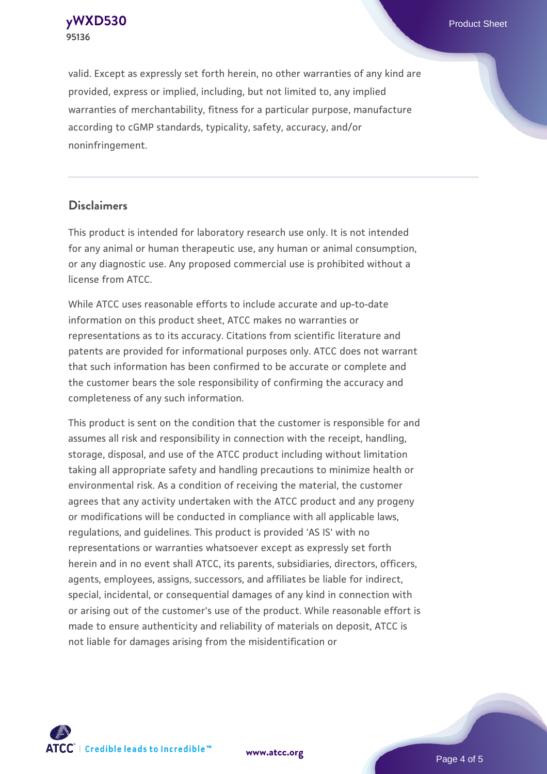**[yWXD530](https://www.atcc.org/products/95136)** Product Sheet **95136**

valid. Except as expressly set forth herein, no other warranties of any kind are provided, express or implied, including, but not limited to, any implied warranties of merchantability, fitness for a particular purpose, manufacture according to cGMP standards, typicality, safety, accuracy, and/or noninfringement.

#### **Disclaimers**

This product is intended for laboratory research use only. It is not intended for any animal or human therapeutic use, any human or animal consumption, or any diagnostic use. Any proposed commercial use is prohibited without a license from ATCC.

While ATCC uses reasonable efforts to include accurate and up-to-date information on this product sheet, ATCC makes no warranties or representations as to its accuracy. Citations from scientific literature and patents are provided for informational purposes only. ATCC does not warrant that such information has been confirmed to be accurate or complete and the customer bears the sole responsibility of confirming the accuracy and completeness of any such information.

This product is sent on the condition that the customer is responsible for and assumes all risk and responsibility in connection with the receipt, handling, storage, disposal, and use of the ATCC product including without limitation taking all appropriate safety and handling precautions to minimize health or environmental risk. As a condition of receiving the material, the customer agrees that any activity undertaken with the ATCC product and any progeny or modifications will be conducted in compliance with all applicable laws, regulations, and guidelines. This product is provided 'AS IS' with no representations or warranties whatsoever except as expressly set forth herein and in no event shall ATCC, its parents, subsidiaries, directors, officers, agents, employees, assigns, successors, and affiliates be liable for indirect, special, incidental, or consequential damages of any kind in connection with or arising out of the customer's use of the product. While reasonable effort is made to ensure authenticity and reliability of materials on deposit, ATCC is not liable for damages arising from the misidentification or



**[www.atcc.org](http://www.atcc.org)**

Page 4 of 5